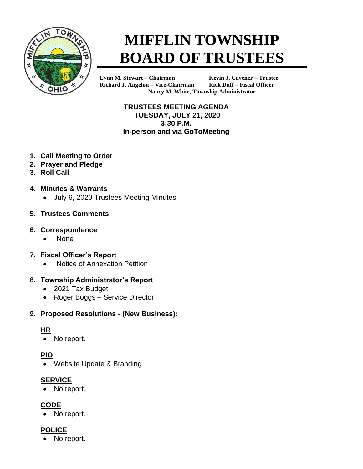

# **MIFFLIN TOWNSHIP BOARD OF TRUSTEES**

**Lynn M. Stewart – Chairman Kevin J. Cavener – Trustee Richard J. Angelou – Vice-Chairman Rick Duff – Fiscal Officer Nancy M. White, Township Administrator**

> **TRUSTEES MEETING AGENDA TUESDAY, JULY 21, 2020 3:30 P.M. In-person and via GoToMeeting**

- **1. Call Meeting to Order**
- **2. Prayer and Pledge**
- **3. Roll Call**
- **4. Minutes & Warrants**
	- July 6, 2020 Trustees Meeting Minutes

#### **5. Trustees Comments**

#### **6. Correspondence**

• None

#### **7. Fiscal Officer's Report**

• Notice of Annexation Petition

## **8. Township Administrator's Report**

- 2021 Tax Budget
- Roger Boggs Service Director

## **9. Proposed Resolutions - (New Business):**

## **HR**

No report.

# **PIO**

• Website Update & Branding

## **SERVICE**

No report.

# **CODE**

No report.

## **POLICE**

No report.